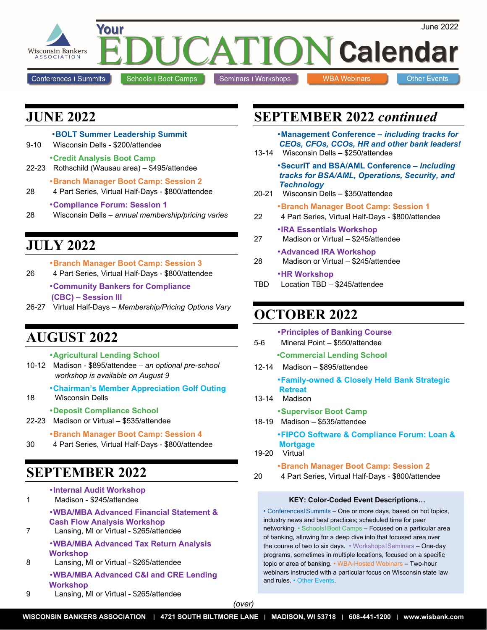

## **JUNE 2022**

|           | <b>.BOLT Summer Leadership Summit</b>                                                            |
|-----------|--------------------------------------------------------------------------------------------------|
| $9 - 10$  | Wisconsin Dells - \$200/attendee                                                                 |
| $22 - 23$ | •Credit Analysis Boot Camp<br>Rothschild (Wausau area) - \$495/attendee                          |
| 28        | <b>•Branch Manager Boot Camp: Session 2</b><br>4 Part Series, Virtual Half-Days - \$800/attendee |
|           | <b>•Compliance Forum: Session 1</b>                                                              |

28 Wisconsin Dells – *annual membership/pricing varies*

# **JULY 2022**

|          | <b>•Branch Manager Boot Camp: Session 3</b> |           |
|----------|---------------------------------------------|-----------|
| $\cdots$ |                                             | A 0 0 1 1 |

- 26 4 Part Series, Virtual Half-Days \$800/attendee •**Community Bankers for Compliance (CBC) – Session III**
- 26-27 Virtual Half-Days *Membership/Pricing Options Vary*

# **AUGUST 2022**

- •**Agricultural Lending School**
- 10-12 Madison \$895/attendee *an optional pre-school workshop is available on August 9*

•**Chairman's Member Appreciation Golf Outing** 

18 Wisconsin Dells

### •**Deposit Compliance School**

22-23 Madison or Virtual – \$535/attendee

•**Branch Manager Boot Camp: Session 4** 

30 4 Part Series, Virtual Half-Days - \$800/attendee

# **SEPTEMBER 2022**

|   | <b>•Internal Audit Workshop</b><br>Madison - \$245/attendee                                                              |
|---|--------------------------------------------------------------------------------------------------------------------------|
|   | •WBA/MBA Advanced Financial Statement &<br><b>Cash Flow Analysis Workshop</b><br>Lansing, MI or Virtual - \$265/attendee |
| 8 | •WBA/MBA Advanced Tax Return Analysis<br><b>Workshop</b><br>Lansing, MI or Virtual - \$265/attendee                      |
|   | .WBA/MBA Advanced C&I and CRE Lending<br>Workshop                                                                        |

9 Lansing, MI or Virtual - \$265/attendee

# **SEPTEMBER 2022** *continued*

•**Management Conference –** *including tracks for CEOs, CFOs, CCOs, HR and other bank leaders!*

13-14 Wisconsin Dells – \$250/attendee

•**SecurIT and BSA/AML Conference –** *including tracks for BSA/AML, Operations, Security, and Technology*

- 20-21 Wisconsin Dells \$350/attendee
	- •**Branch Manager Boot Camp: Session 1**
- 22 4 Part Series, Virtual Half-Days \$800/attendee

### •**IRA Essentials Workshop**

- 27 Madison or Virtual \$245/attendee
- •**Advanced IRA Workshop**  28 Madison or Virtual – \$245/attendee
- •**HR Workshop**
- TBD Location TBD \$245/attendee

# **OCTOBER 2022**

| 5-6   | <b>•Principles of Banking Course</b><br>Mineral Point - \$550/attendee                        |
|-------|-----------------------------------------------------------------------------------------------|
| 12-14 | •Commercial Lending School<br>Madison - \$895/attendee                                        |
|       | <b>*Family-owned &amp; Closely Held Bank Strategic</b><br><b>Retreat</b><br>13-14 Madison     |
|       | <b>*Supervisor Boot Camp</b><br>18-19 Madison - \$535/attendee                                |
|       | <b>.FIPCO Software &amp; Compliance Forum: Loan &amp;</b><br><b>Mortgage</b><br>19-20 Virtual |
|       | <b>•Branch Manager Boot Camp: Session 2</b>                                                   |

20 4 Part Series, Virtual Half-Days - \$800/attendee

### **KEY: Color-Coded Event Descriptions…**

• ConferencesISummits – One or more days, based on hot topics, industry news and best practices; scheduled time for peer networking. • SchoolsIBoot Camps – Focused on a particular area of banking, allowing for a deep dive into that focused area over the course of two to six days. • WorkshopsISeminars – One-day programs, sometimes in multiple locations, focused on a specific topic or area of banking. • WBA-Hosted Webinars – Two-hour webinars instructed with a particular focus on Wisconsin state law and rules. • Other Events.